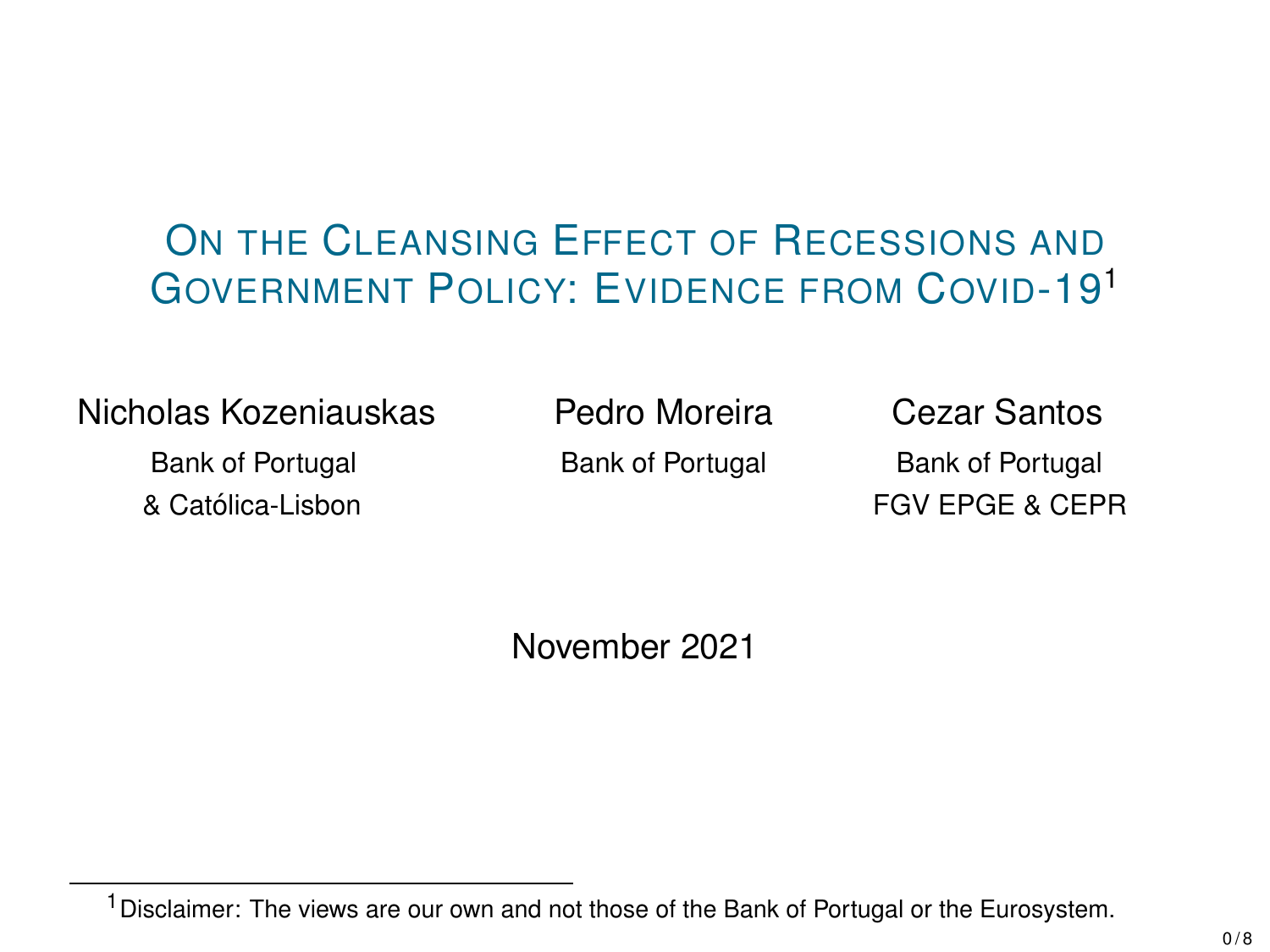### ON THE CLEANSING EFFECT OF RECESSIONS AND GOVERNMENT POLICY: EVIDENCE FROM COVID-19<sup>1</sup>

#### Nicholas Kozeniauskas Pedro Moreira Cezar Santos

Bank of Portugal Bank of Portugal Bank of Portugal & Catolica-Lisbon FGV EPGE & CEPR ´

November 2021

<sup>&</sup>lt;sup>1</sup> Disclaimer: The views are our own and not those of the Bank of Portugal or the Eurosystem.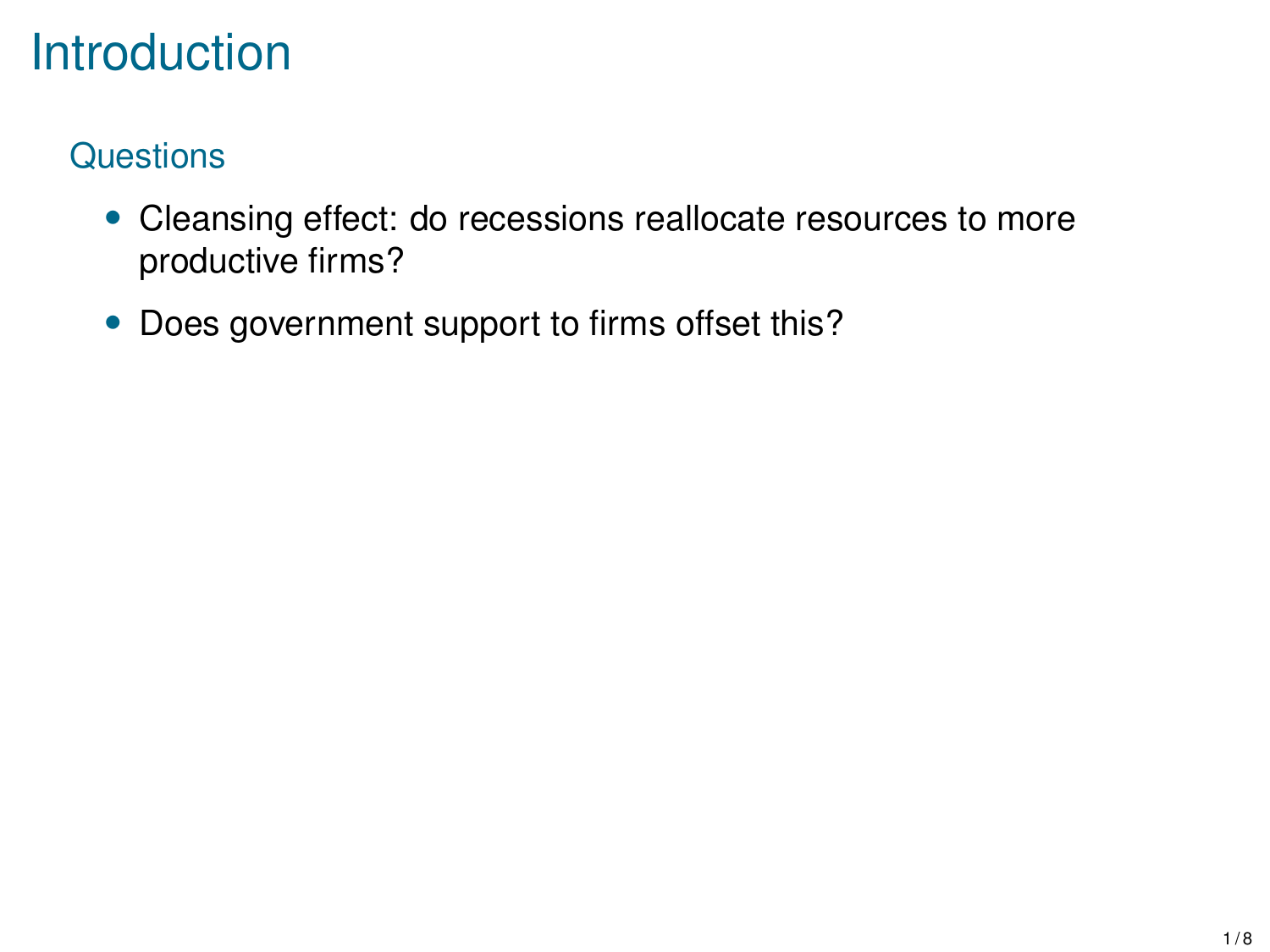# **Introduction**

### **Questions**

- Cleansing effect: do recessions reallocate resources to more productive firms?
- Does government support to firms offset this?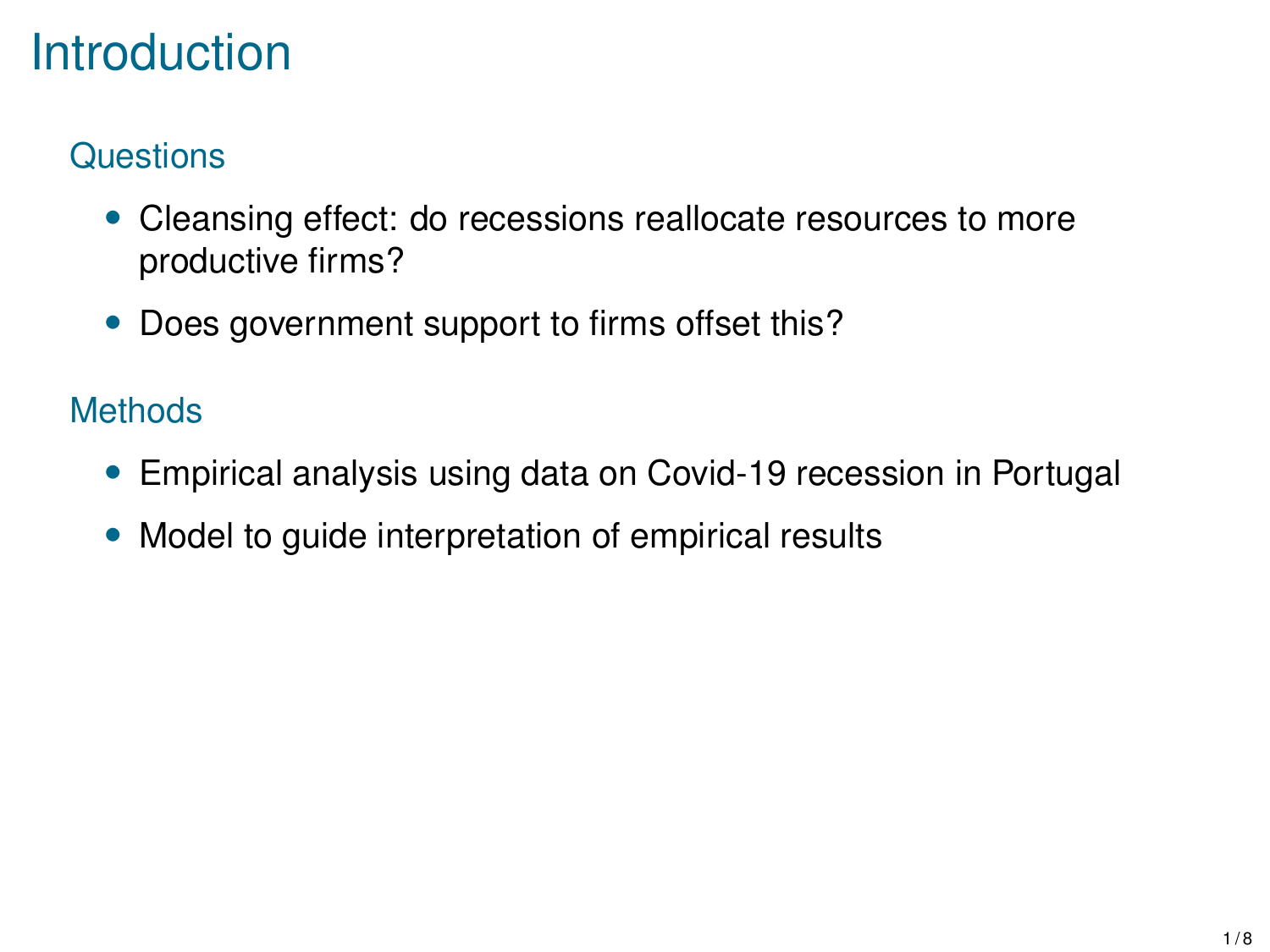# **Introduction**

### **Questions**

- Cleansing effect: do recessions reallocate resources to more productive firms?
- Does government support to firms offset this?

### **Methods**

- Empirical analysis using data on Covid-19 recession in Portugal
- Model to guide interpretation of empirical results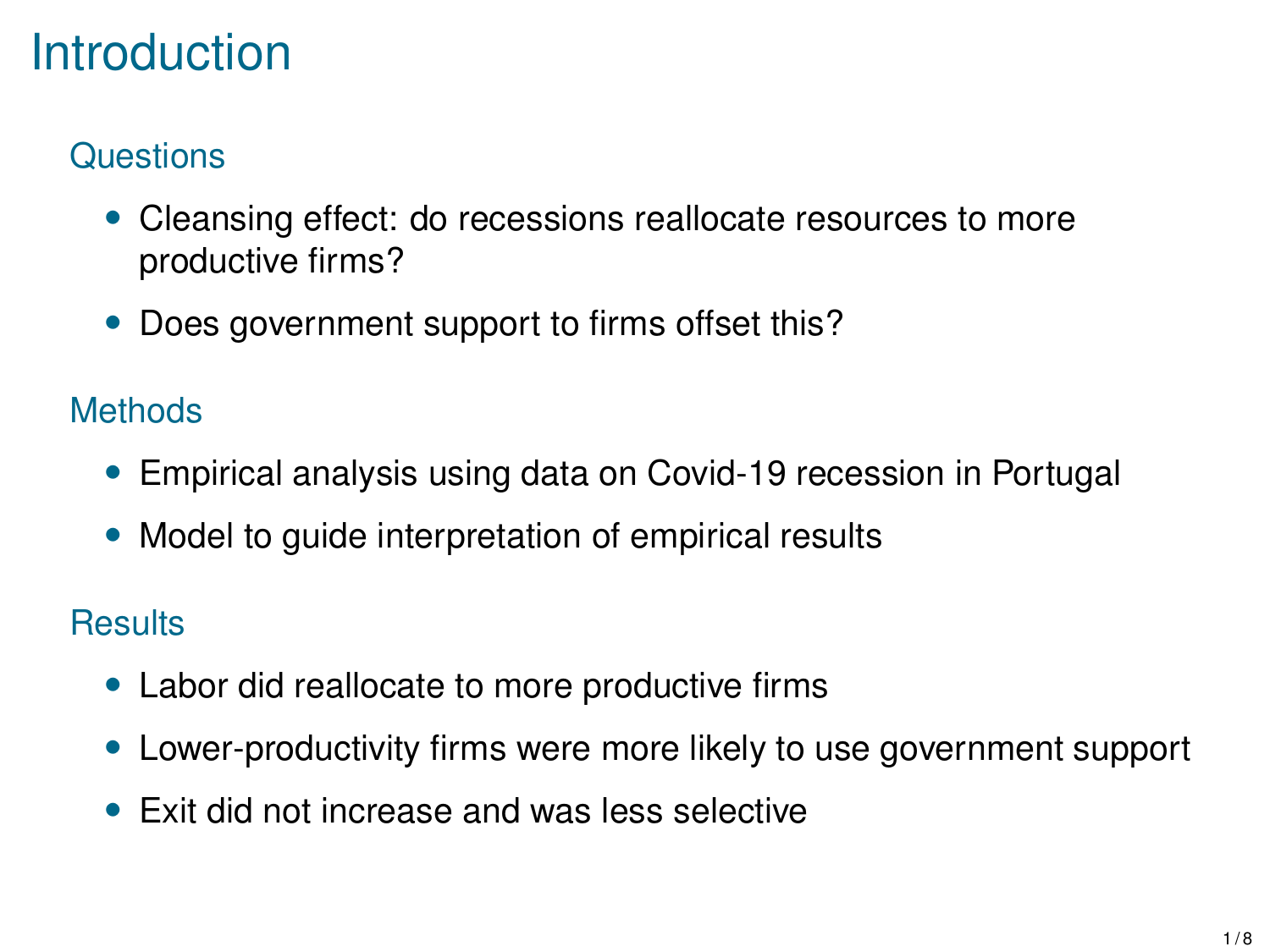# **Introduction**

### **Questions**

- Cleansing effect: do recessions reallocate resources to more productive firms?
- Does government support to firms offset this?

### **Methods**

- Empirical analysis using data on Covid-19 recession in Portugal
- Model to guide interpretation of empirical results

### **Results**

- Labor did reallocate to more productive firms
- Lower-productivity firms were more likely to use government support
- Exit did not increase and was less selective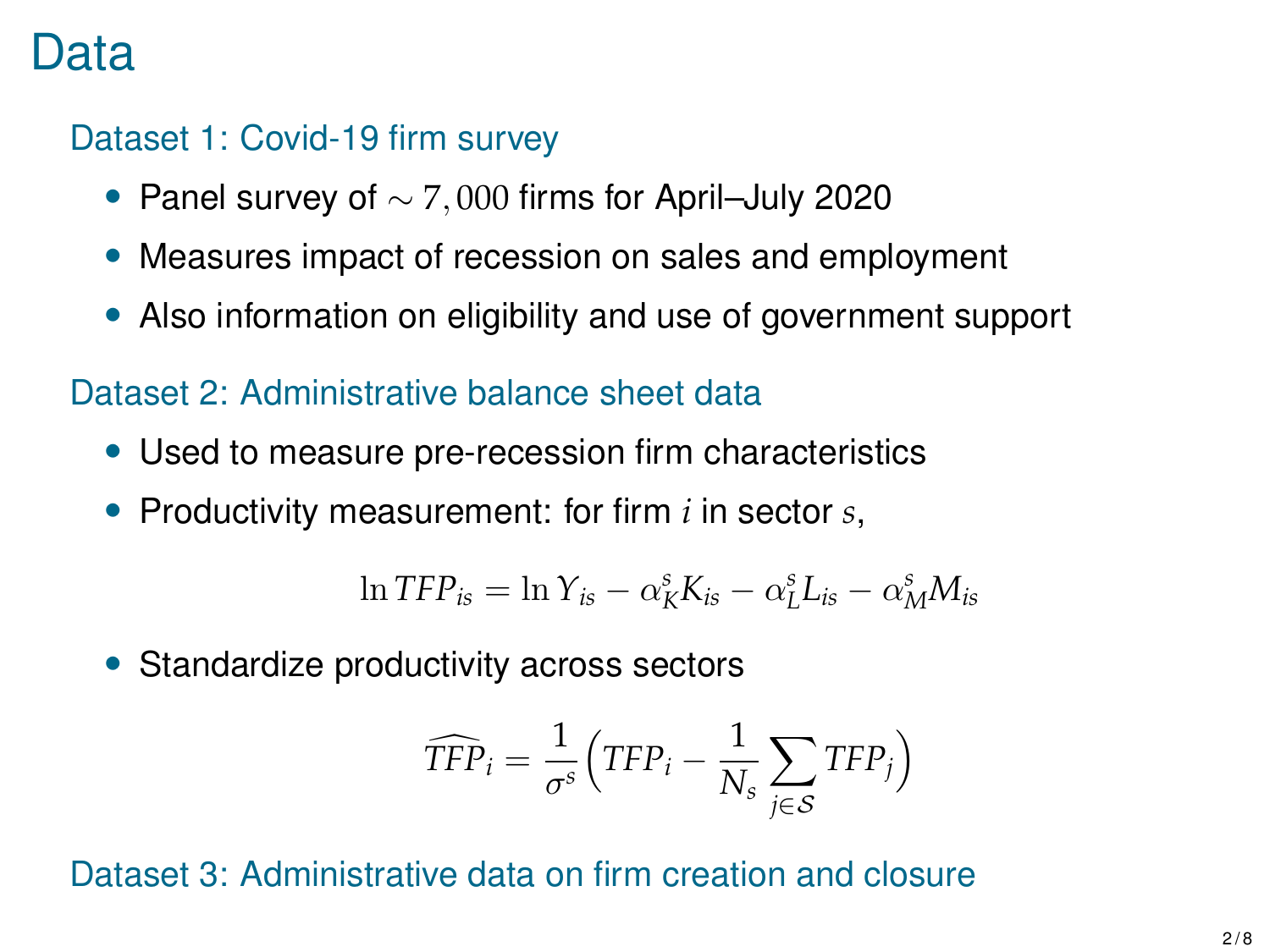### Data

#### Dataset 1: Covid-19 firm survey

- Panel survey of  $\sim$  7,000 firms for April–July 2020
- Measures impact of recession on sales and employment
- Also information on eligibility and use of government support

#### Dataset 2: Administrative balance sheet data

- Used to measure pre-recession firm characteristics
- Productivity measurement: for firm *i* in sector *s*,

$$
\ln TFP_{is} = \ln Y_{is} - \alpha_K^s K_{is} - \alpha_L^s L_{is} - \alpha_M^s M_{is}
$$

• Standardize productivity across sectors

$$
\widehat{TFP}_i = \frac{1}{\sigma^s} \Big( TFP_i - \frac{1}{N_s} \sum_{j \in S} TFP_j \Big)
$$

#### Dataset 3: Administrative data on firm creation and closure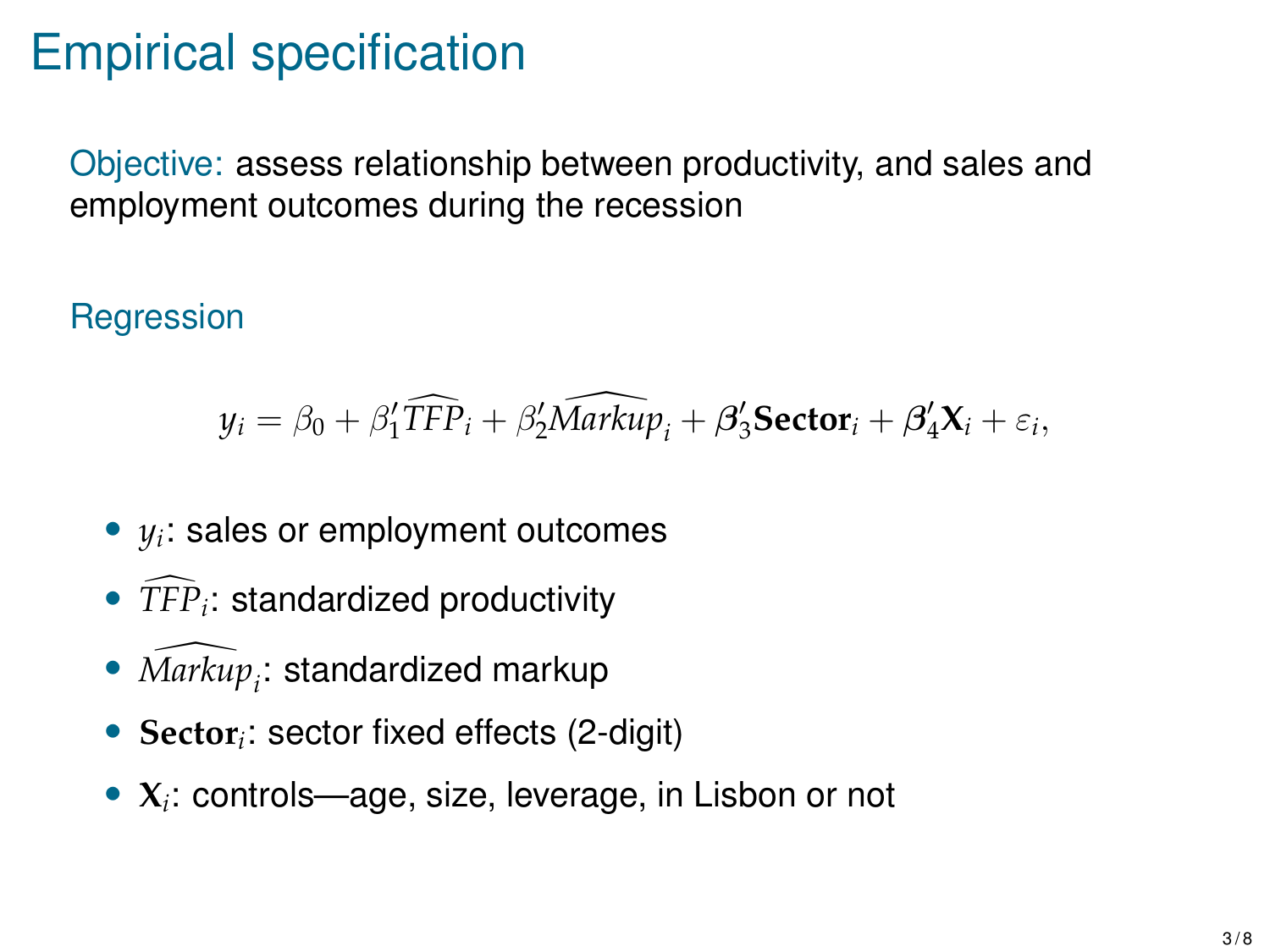# Empirical specification

Objective: assess relationship between productivity, and sales and employment outcomes during the recession

**Regression** 

$$
y_i = \beta_0 + \beta_1' \widehat{TFP}_i + \beta_2' \widehat{Markup}_i + \beta_3' \textbf{Sector}_i + \beta_4' \mathbf{X}_i + \varepsilon_i,
$$

- *y<sup>i</sup>* : sales or employment outcomes
- $\overline{TFP}_i$ : standardized productivity
- $\widehat{Markup}_i$ : standardized markup
- **Sector***<sup>i</sup>* : sector fixed effects (2-digit)
- **X***<sup>i</sup>* : controls—age, size, leverage, in Lisbon or not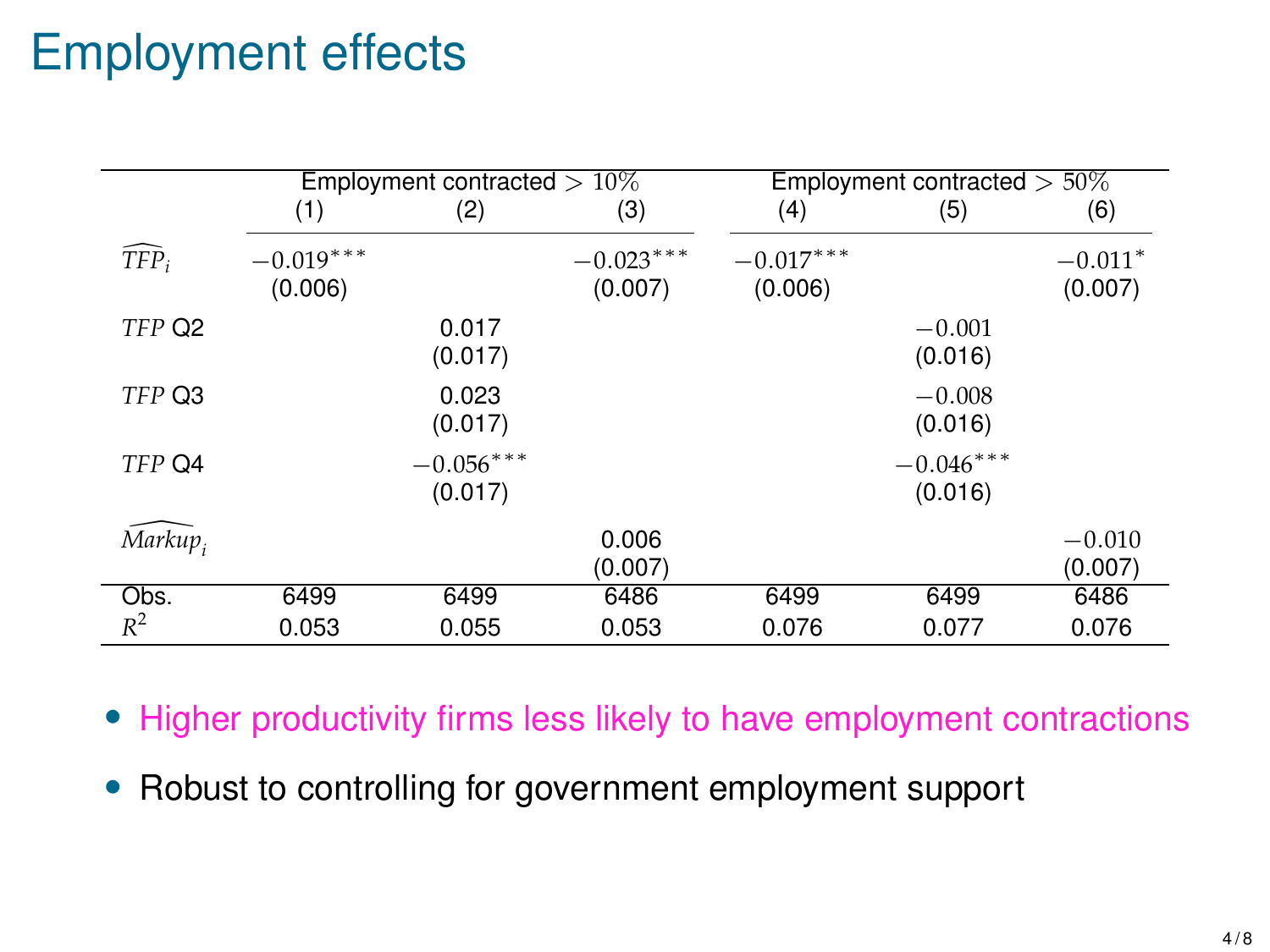# Employment effects

|            | Employment contracted $>10\%$ |                        |                        | Employment contracted $> 50\%$ |                        |                      |
|------------|-------------------------------|------------------------|------------------------|--------------------------------|------------------------|----------------------|
|            | (1)                           | (2)                    | (3)                    | (4)                            | (5)                    | (6)                  |
| $TFP_i$    | $-0.019***$<br>(0.006)        |                        | $-0.023***$<br>(0.007) | $-0.017***$<br>(0.006)         |                        | $-0.011*$<br>(0.007) |
| TFP Q2     |                               | 0.017<br>(0.017)       |                        |                                | $-0.001$<br>(0.016)    |                      |
| TFP Q3     |                               | 0.023<br>(0.017)       |                        |                                | $-0.008$<br>(0.016)    |                      |
| TFP Q4     |                               | $-0.056***$<br>(0.017) |                        |                                | $-0.046***$<br>(0.016) |                      |
| $Markup_i$ |                               |                        | 0.006<br>(0.007)       |                                |                        | $-0.010$<br>(0.007)  |
| Obs.       | 6499                          | 6499                   | 6486                   | 6499                           | 6499                   | 6486                 |
| $R^2$      | 0.053                         | 0.055                  | 0.053                  | 0.076                          | 0.077                  | 0.076                |

- Higher productivity firms less likely to have employment contractions
- Robust to controlling for government employment support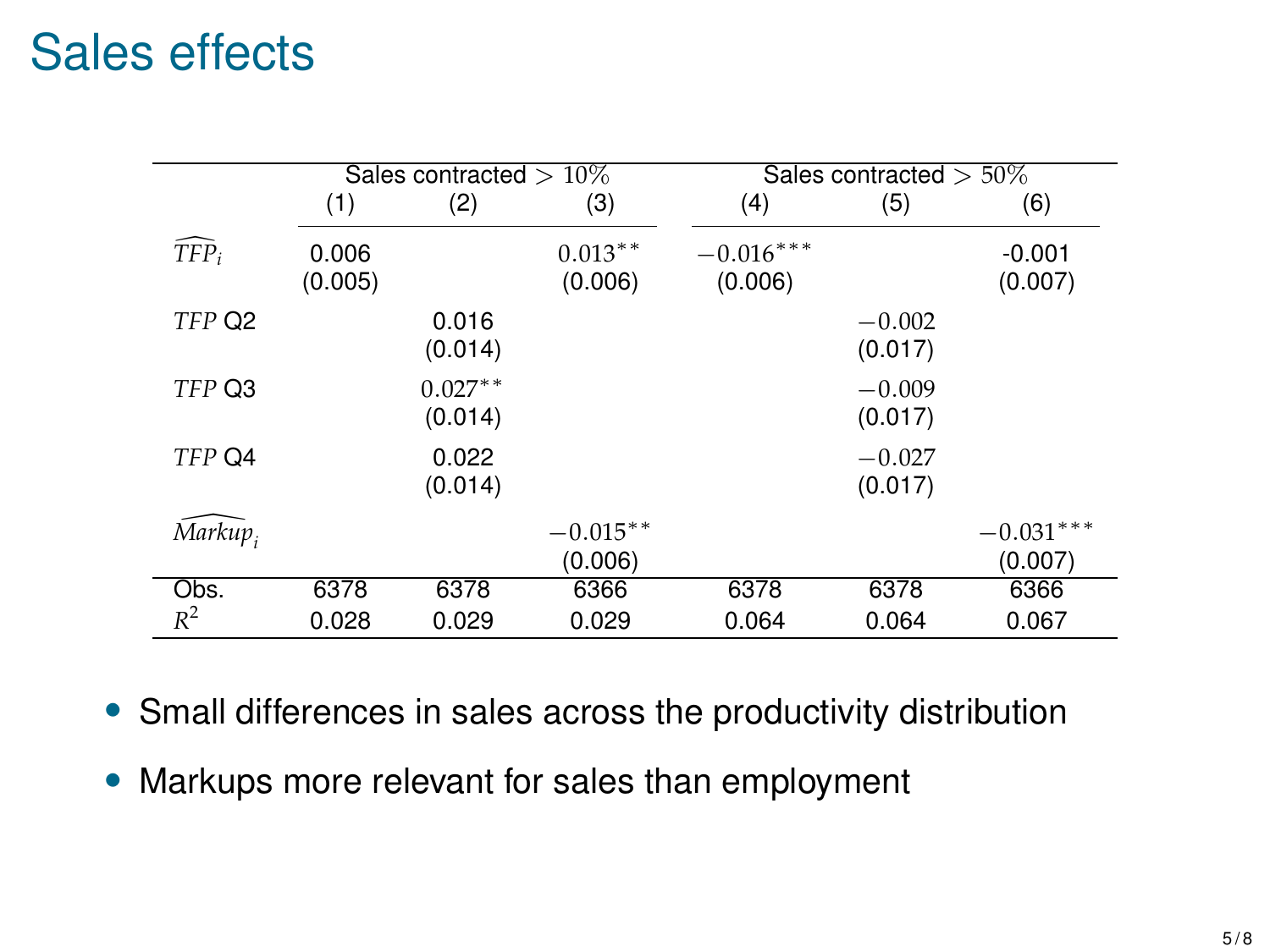## Sales effects

|                  |                  | Sales contracted $>10\%$ |                       |                        | Sales contracted $> 50\%$ |                        |  |
|------------------|------------------|--------------------------|-----------------------|------------------------|---------------------------|------------------------|--|
|                  | (1)              | (2)                      | (3)                   | (4)                    | (5)                       | (6)                    |  |
| $TFP_i$          | 0.006<br>(0.005) |                          | $0.013***$<br>(0.006) | $-0.016***$<br>(0.006) |                           | $-0.001$<br>(0.007)    |  |
| TFP Q2           |                  | 0.016<br>(0.014)         |                       |                        | $-0.002$<br>(0.017)       |                        |  |
| TFP Q3           |                  | $0.027**$<br>(0.014)     |                       |                        | $-0.009$<br>(0.017)       |                        |  |
| TFP Q4           |                  | 0.022<br>(0.014)         |                       |                        | $-0.027$<br>(0.017)       |                        |  |
| $\bar{M}$ arkup, |                  |                          | $-0.015**$<br>(0.006) |                        |                           | $-0.031***$<br>(0.007) |  |
| Obs.             | 6378             | 6378                     | 6366                  | 6378                   | 6378                      | 6366                   |  |
| $R^2$            | 0.028            | 0.029                    | 0.029                 | 0.064                  | 0.064                     | 0.067                  |  |

- Small differences in sales across the productivity distribution
- Markups more relevant for sales than employment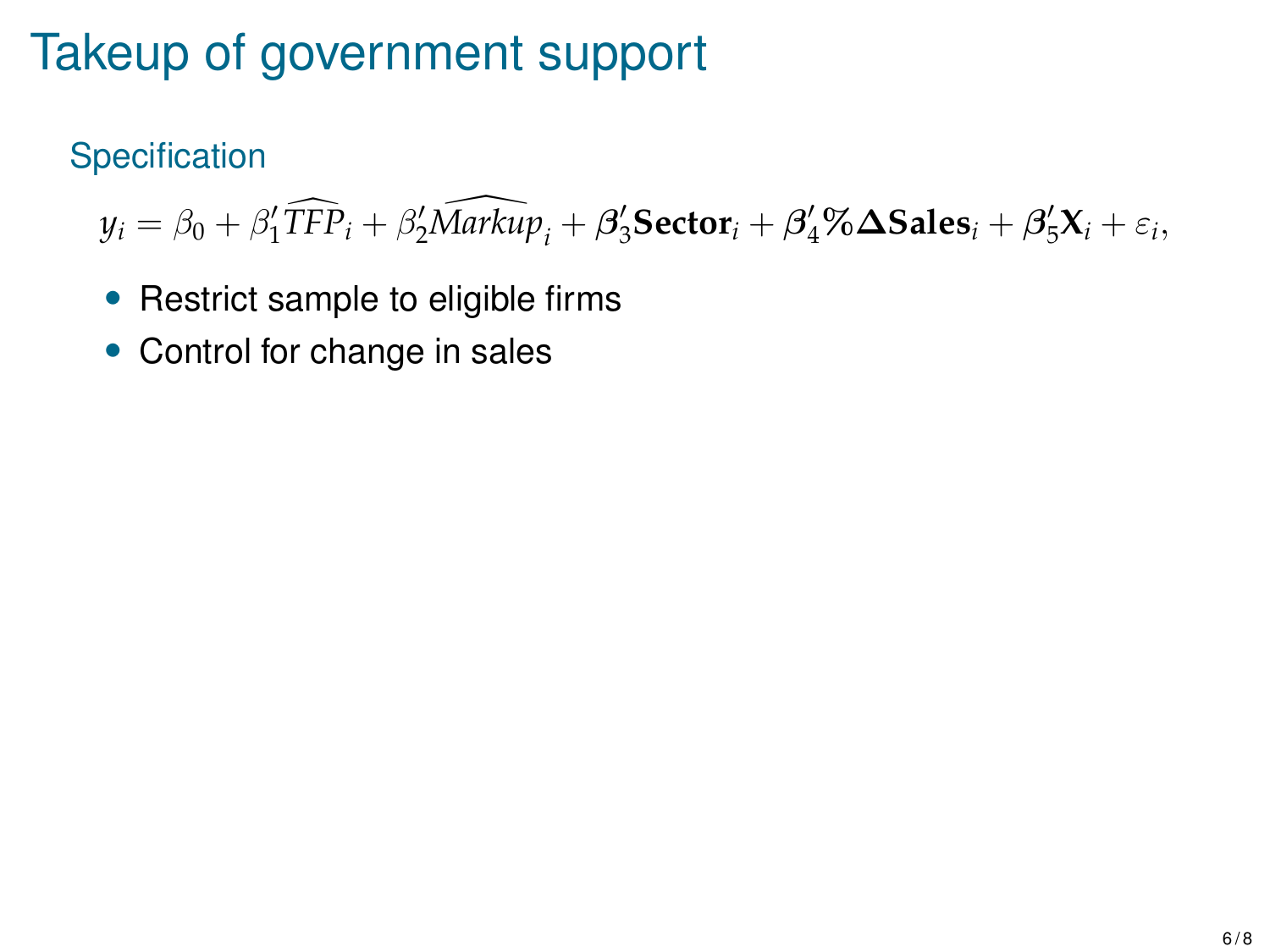# Takeup of government support

### **Specification**

 $y_i = \beta_0 + \beta'_1 \widehat{TFP}_i + \beta'_2 \widehat{Markup}_i + \beta'_3 \textbf{Sector}_i + \beta'_4 \% \Delta \textbf{Sales}_i + \beta'_5 X_i + \varepsilon_i,$ 

- Restrict sample to eligible firms
- Control for change in sales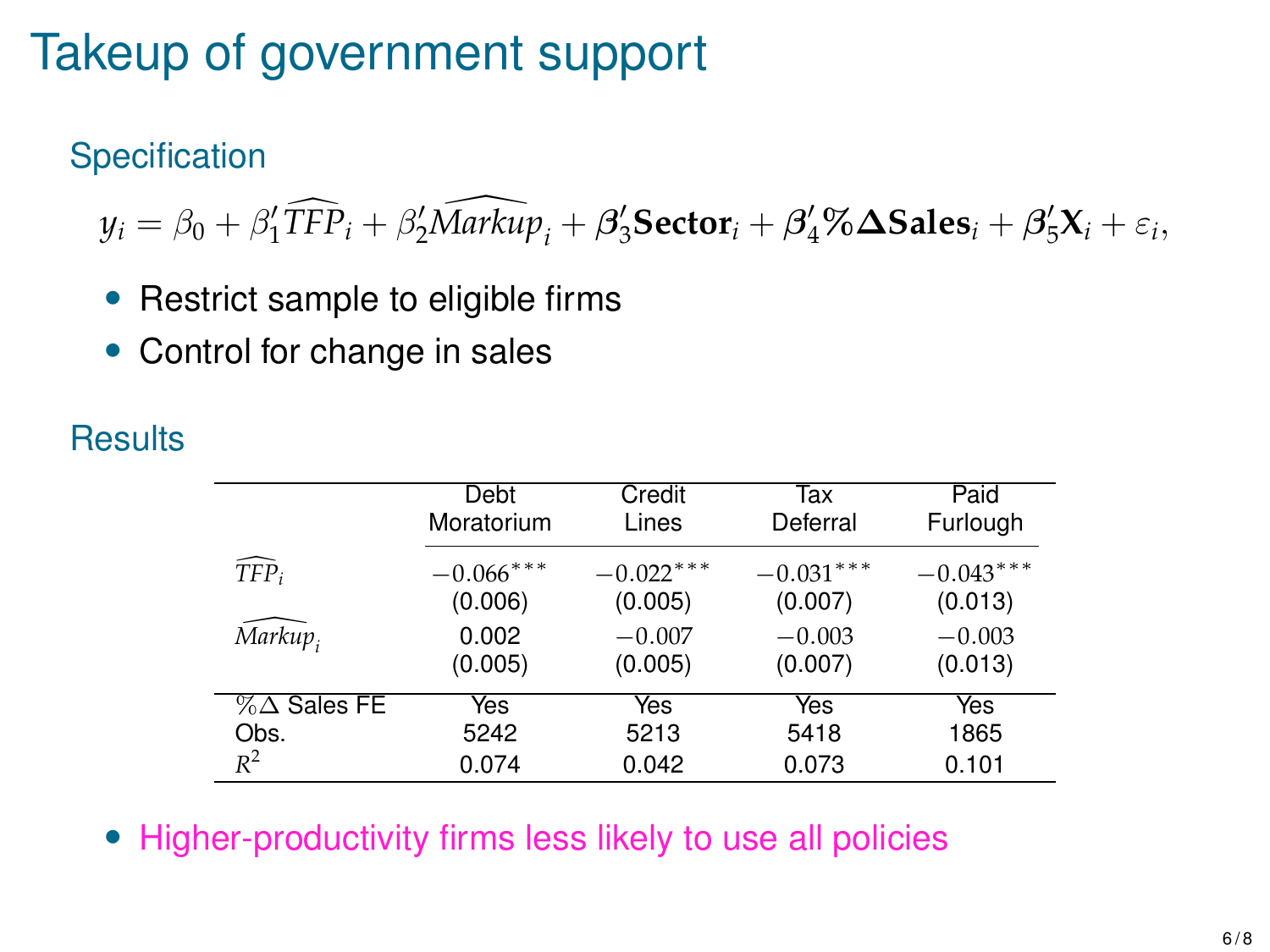# Takeup of government support

### **Specification**

 $y_i = \beta_0 + \beta'_1 \widehat{TFP}_i + \beta'_2 \widehat{Markup}_i + \beta'_3 \textbf{Sector}_i + \beta'_4 \% \Delta \textbf{Sales}_i + \beta'_5 X_i + \varepsilon_i,$ 

- Restrict sample to eligible firms
- Control for change in sales

#### **Results**

|                        | Debt         | Credit      | Tax         | Paid        |
|------------------------|--------------|-------------|-------------|-------------|
|                        | Moratorium   | Lines       | Deferral    | Furlough    |
| $TFP_i$                | $-0.066$ *** | $-0.022***$ | $-0.031***$ | $-0.043***$ |
|                        | (0.006)      | (0.005)     | (0.007)     | (0.013)     |
| Markup,                | 0.002        | $-0.007$    | $-0.003$    | $-0.003$    |
|                        | (0.005)      | (0.005)     | (0.007)     | (0.013)     |
| $% \triangle$ Sales FE | Yes          | Yes         | Yes         | Yes         |
| Obs.                   | 5242         | 5213        | 5418        | 1865        |
| $R^2$                  | 0.074        | 0.042       | 0.073       | 0.101       |

• Higher-productivity firms less likely to use all policies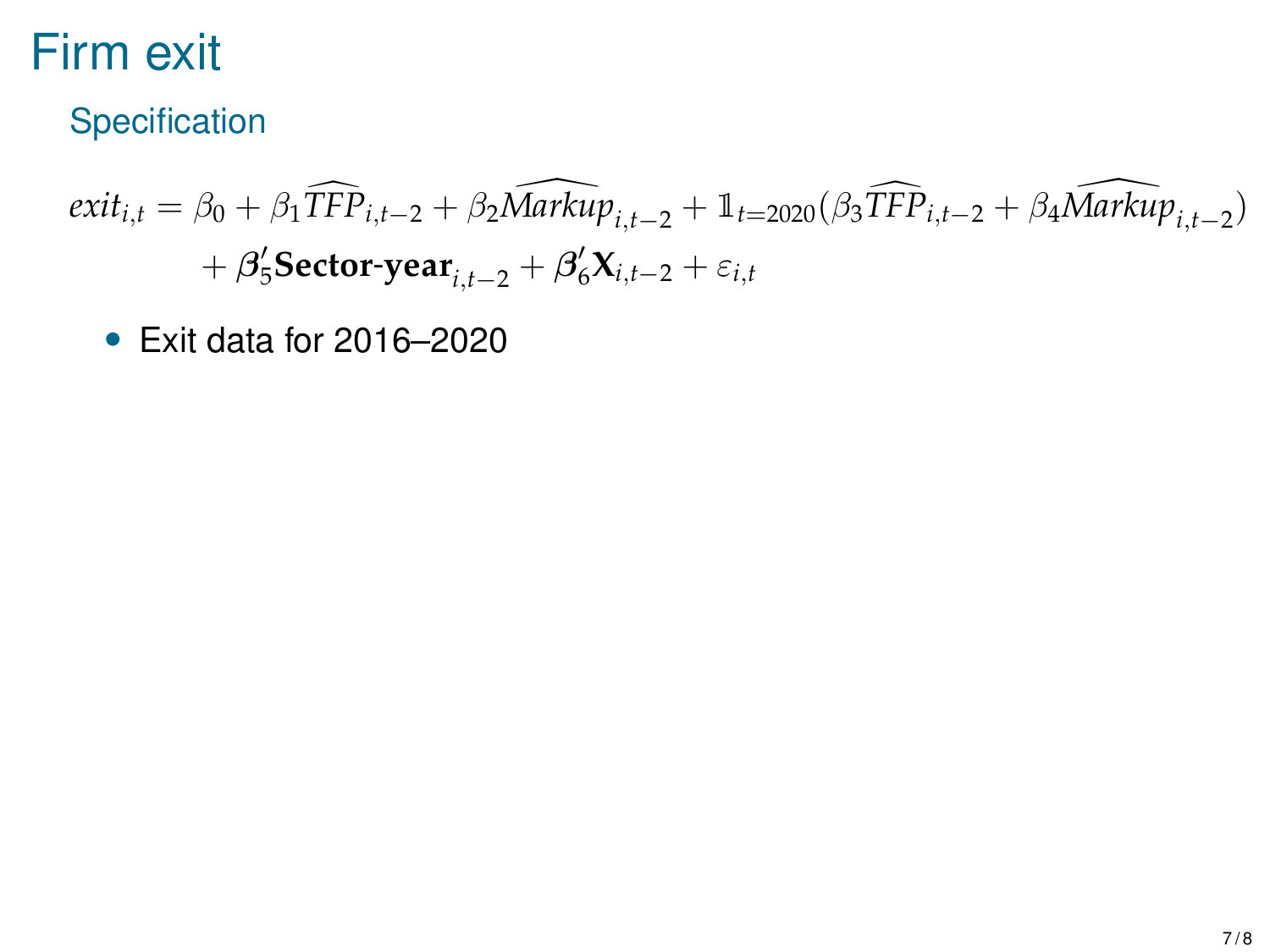# Firm exit

Specification

$$
exit_{i,t} = \beta_0 + \beta_1 \widehat{TFP}_{i,t-2} + \beta_2 \widehat{Markup}_{i,t-2} + \mathbb{1}_{t=2020} (\beta_3 \widehat{TFP}_{i,t-2} + \beta_4 \widehat{Markup}_{i,t-2})
$$

$$
+ \beta_5' \text{Sector-year}_{i,t-2} + \beta_6' \mathbf{X}_{i,t-2} + \varepsilon_{i,t}
$$

• Exit data for 2016–2020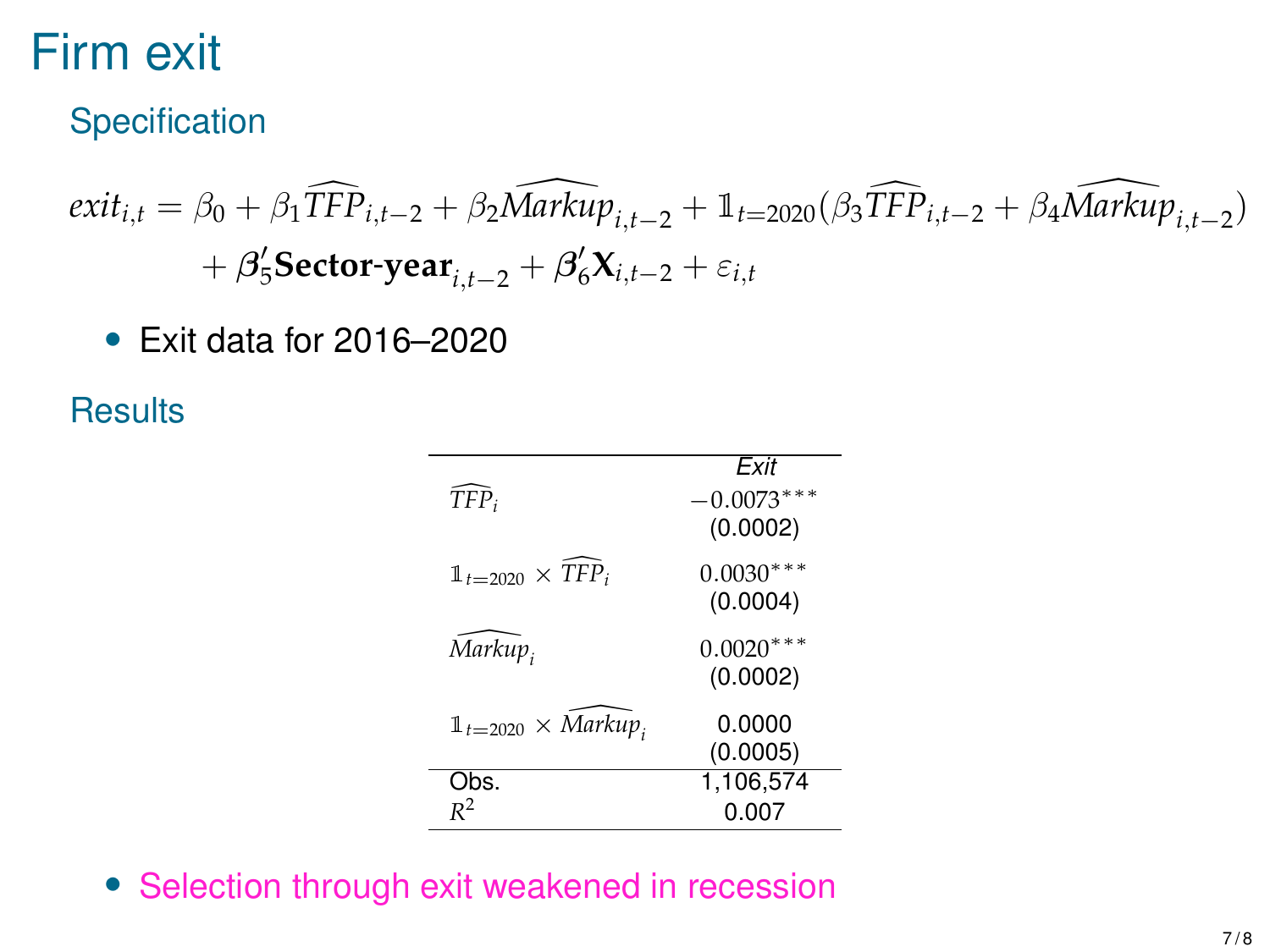# Firm exit

Specification

$$
exit_{i,t} = \beta_0 + \beta_1 \widehat{TFP}_{i,t-2} + \beta_2 \widehat{Markup}_{i,t-2} + \mathbb{1}_{t=2020} (\beta_3 \widehat{TFP}_{i,t-2} + \beta_4 \widehat{Markup}_{i,t-2})
$$

$$
+ \beta_5' \text{Sector-year}_{i,t-2} + \beta_6' \mathbf{X}_{i,t-2} + \varepsilon_{i,t}
$$

• Exit data for 2016–2020

**Results** 

|                                    | Exit         |
|------------------------------------|--------------|
| $TFP_i$                            | $-0.0073***$ |
|                                    | (0.0002)     |
| $\mathbb{1}_{t=2020} \times TFP_i$ | $0.0030***$  |
|                                    | (0.0004)     |
|                                    |              |
| Markup,                            | $0.0020***$  |
|                                    | (0.0002)     |
| $1t=2020 \times Markup$            | 0.0000       |
|                                    | (0.0005)     |
| Obs.                               | 1.106.574    |
|                                    | 0.007        |

• Selection through exit weakened in recession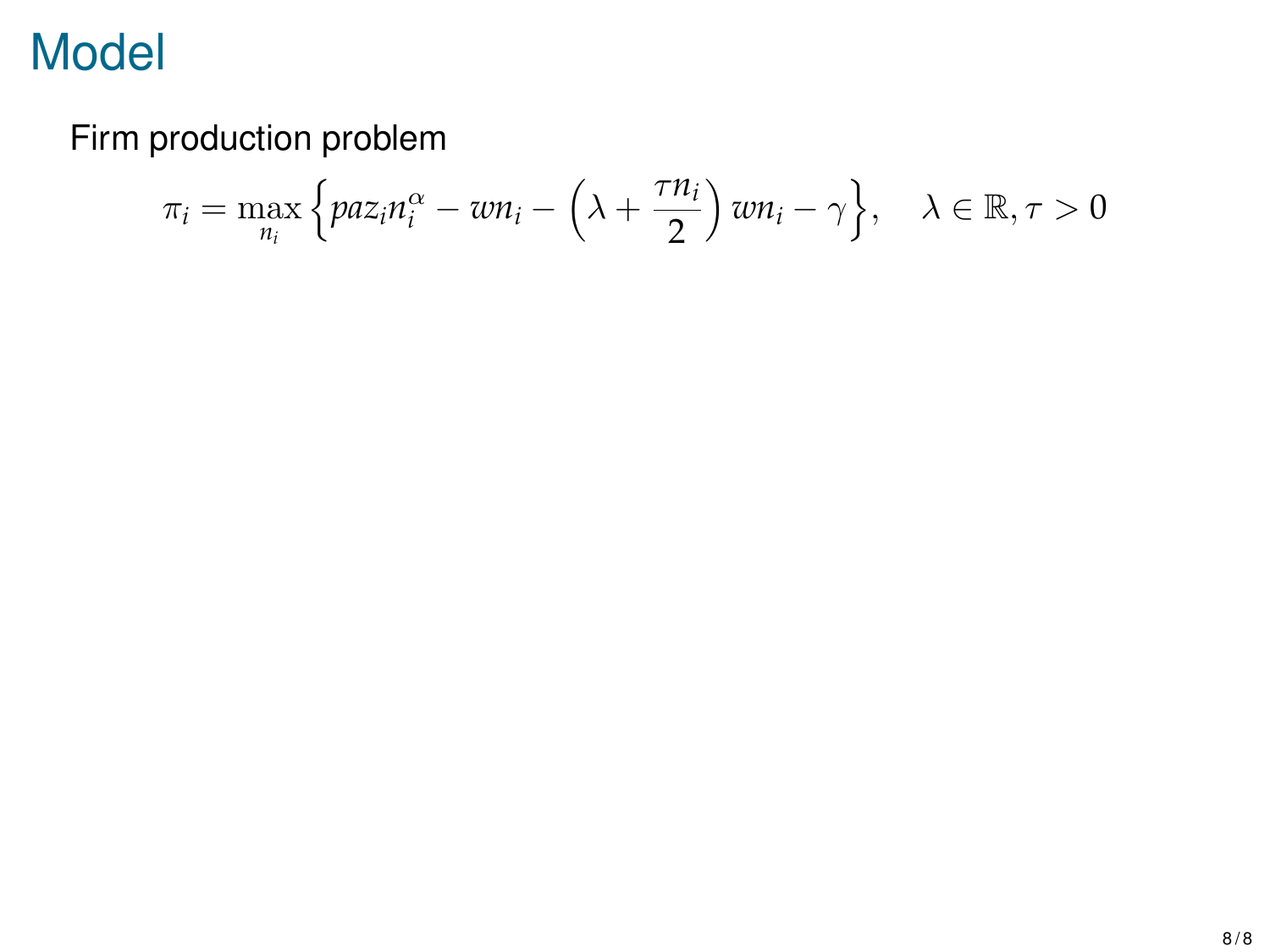Firm production problem

$$
\pi_i = \max_{n_i} \left\{ p a z_i n_i^{\alpha} - w n_i - \left(\lambda + \frac{\tau n_i}{2}\right) w n_i - \gamma \right\}, \quad \lambda \in \mathbb{R}, \tau > 0
$$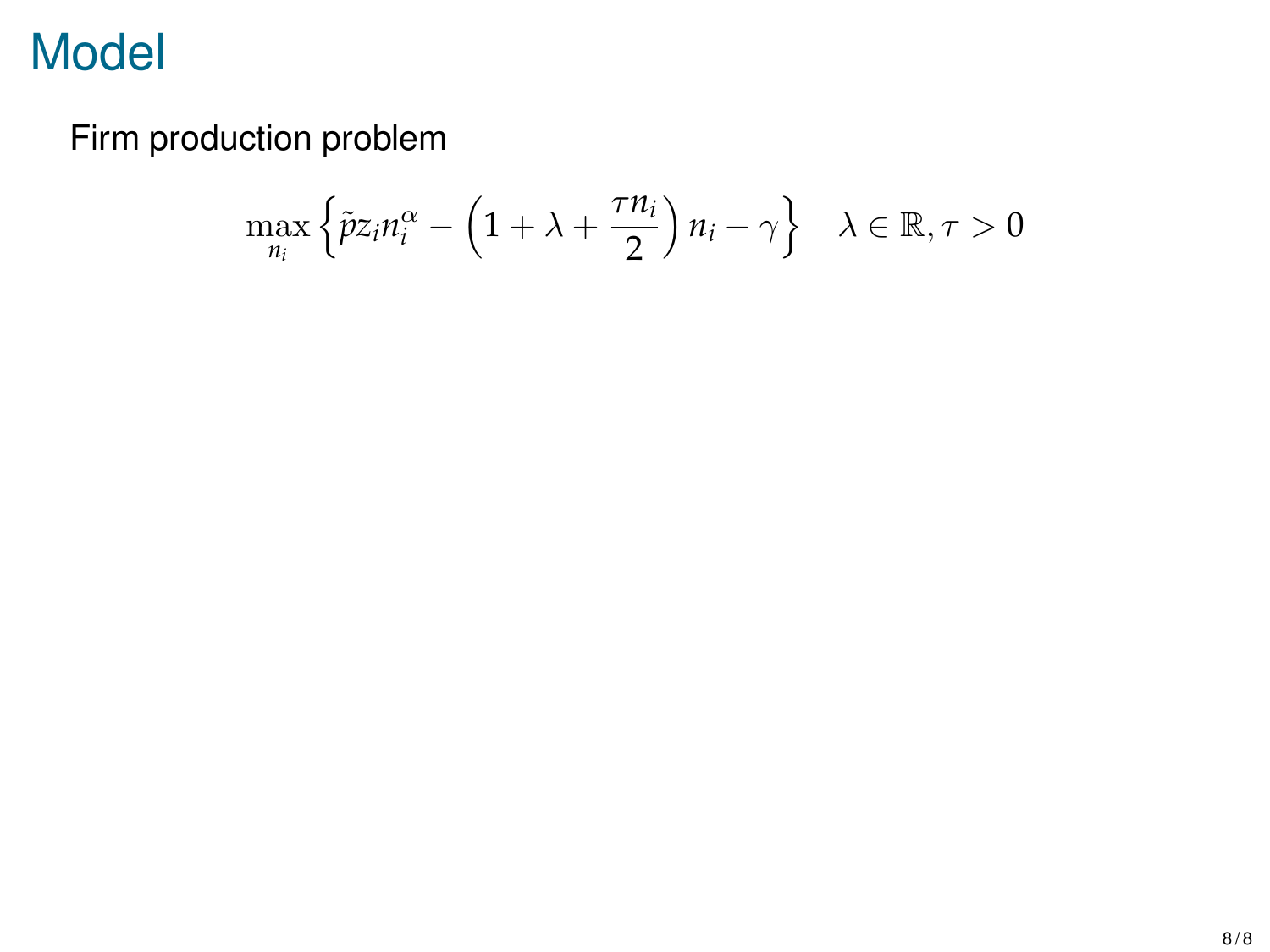Firm production problem

$$
\max_{n_i} \left\{ \tilde{p} z_i n_i^{\alpha} - \left( 1 + \lambda + \frac{\tau n_i}{2} \right) n_i - \gamma \right\} \quad \lambda \in \mathbb{R}, \tau > 0
$$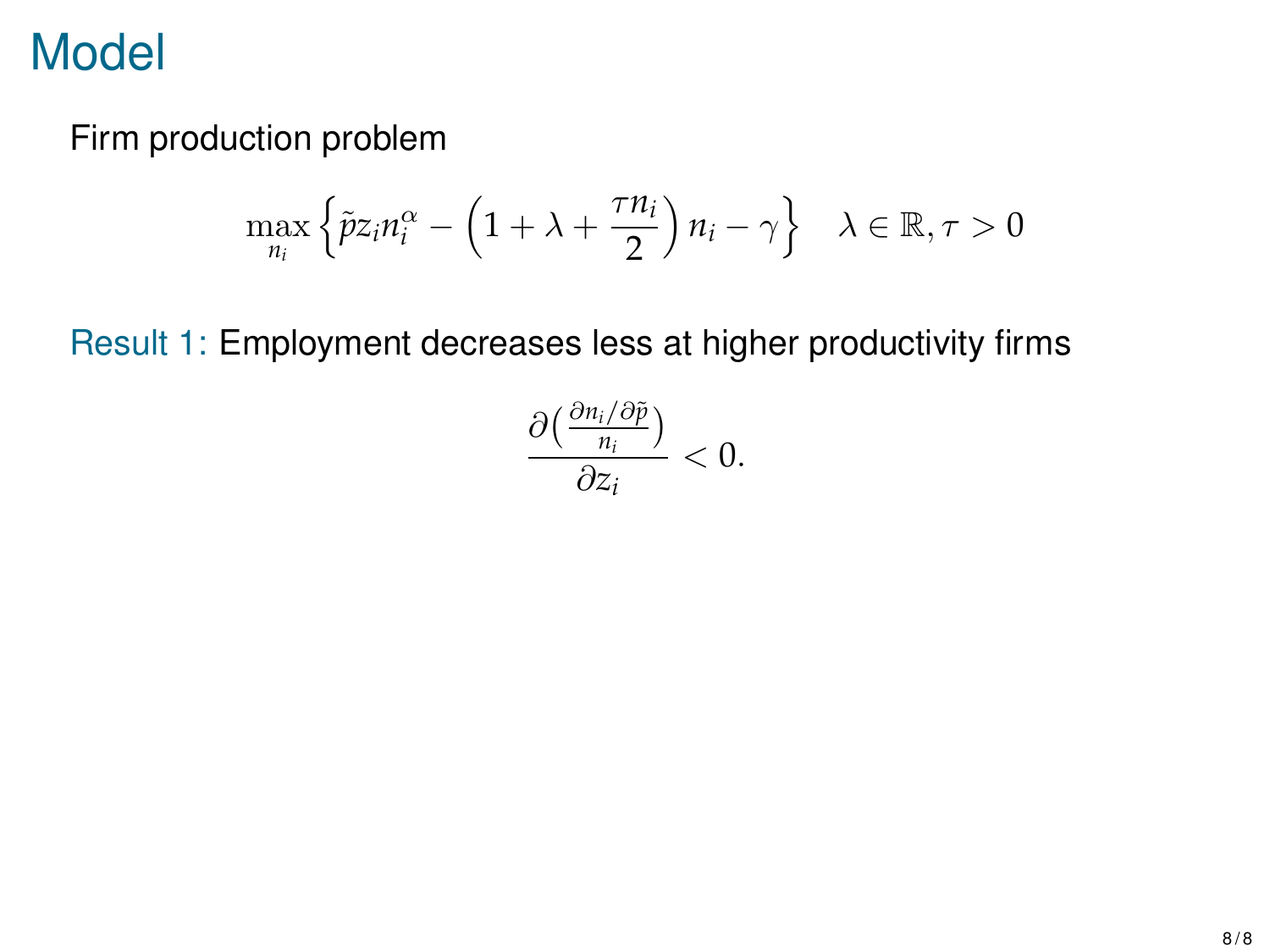Firm production problem

$$
\max_{n_i} \left\{ \tilde{p} z_i n_i^{\alpha} - \left( 1 + \lambda + \frac{\tau n_i}{2} \right) n_i - \gamma \right\} \quad \lambda \in \mathbb{R}, \tau > 0
$$

Result 1: Employment decreases less at higher productivity firms

$$
\frac{\partial\left(\frac{\partial n_i/\partial\tilde{p}}{n_i}\right)}{\partial z_i}<0.
$$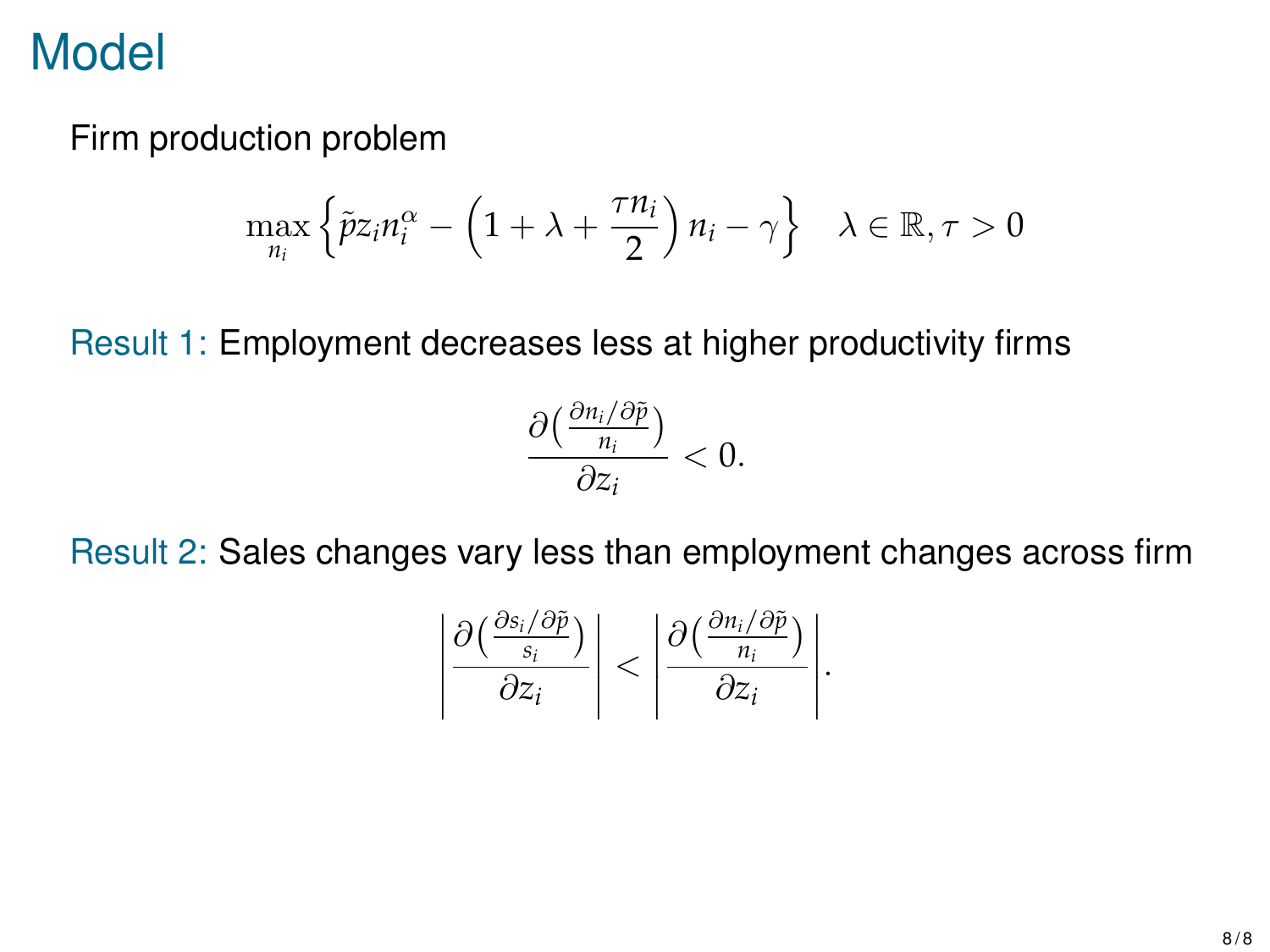#### Firm production problem

$$
\max_{n_i} \left\{ \tilde{p} z_i n_i^{\alpha} - \left( 1 + \lambda + \frac{\tau n_i}{2} \right) n_i - \gamma \right\} \quad \lambda \in \mathbb{R}, \tau > 0
$$

Result 1: Employment decreases less at higher productivity firms



Result 2: Sales changes vary less than employment changes across firm

$$
\left|\frac{\partial\left(\frac{\partial s_i/\partial\tilde{p}}{s_i}\right)}{\partial z_i}\right|<\left|\frac{\partial\left(\frac{\partial n_i/\partial\tilde{p}}{n_i}\right)}{\partial z_i}\right|.
$$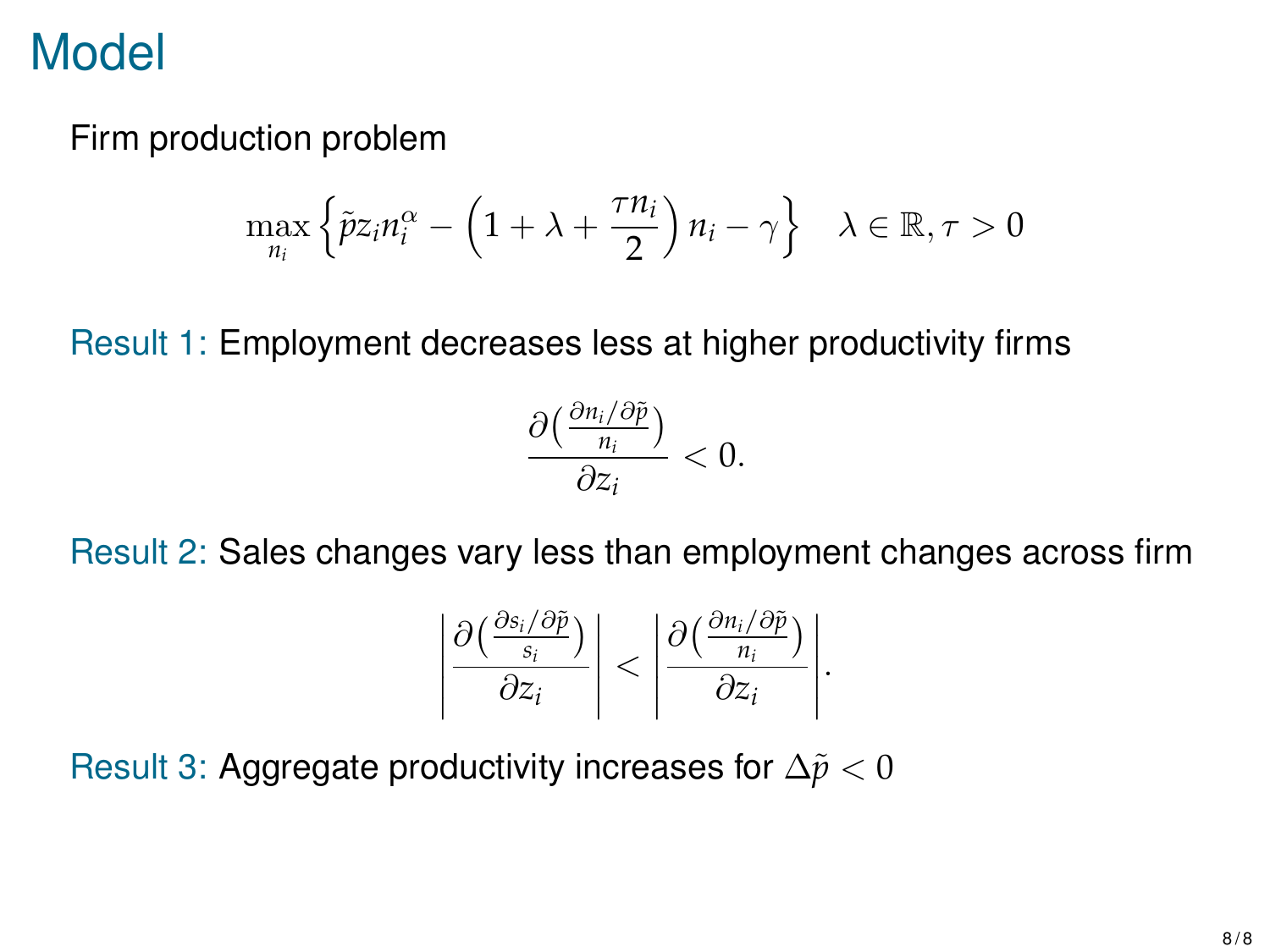#### Firm production problem

$$
\max_{n_i} \left\{ \tilde{p} z_i n_i^{\alpha} - \left( 1 + \lambda + \frac{\tau n_i}{2} \right) n_i - \gamma \right\} \quad \lambda \in \mathbb{R}, \tau > 0
$$

Result 1: Employment decreases less at higher productivity firms



Result 2: Sales changes vary less than employment changes across firm

$$
\left|\frac{\partial\left(\frac{\partial s_i/\partial\tilde{p}}{s_i}\right)}{\partial z_i}\right|<\left|\frac{\partial\left(\frac{\partial n_i/\partial\tilde{p}}{n_i}\right)}{\partial z_i}\right|.
$$

Result 3: Aggregate productivity increases for  $\Delta \tilde{p} < 0$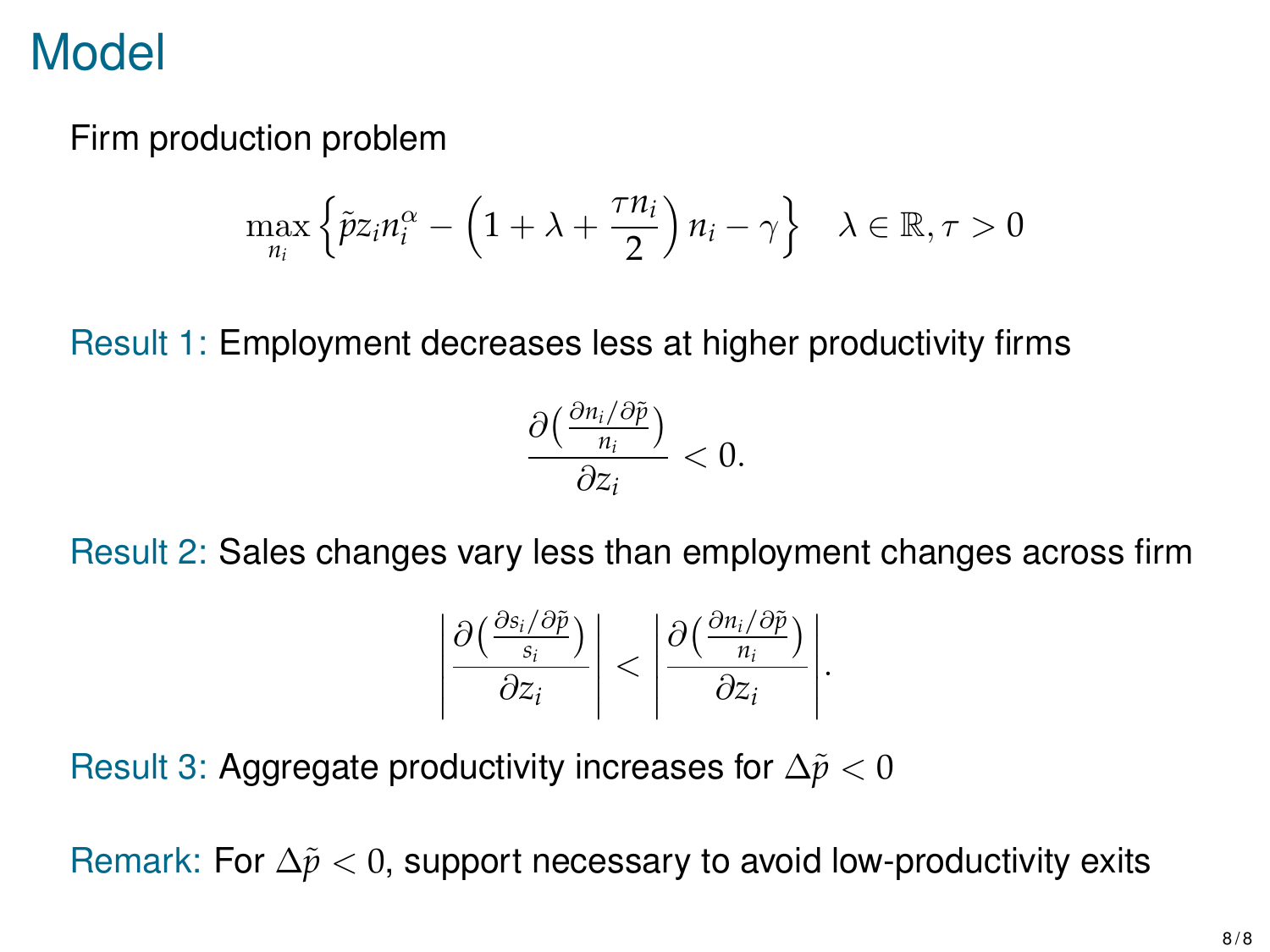### Firm production problem

$$
\max_{n_i} \left\{ \tilde{p} z_i n_i^{\alpha} - \left( 1 + \lambda + \frac{\tau n_i}{2} \right) n_i - \gamma \right\} \quad \lambda \in \mathbb{R}, \tau > 0
$$

Result 1: Employment decreases less at higher productivity firms



Result 2: Sales changes vary less than employment changes across firm

$$
\left|\frac{\partial\left(\frac{\partial s_i/\partial\tilde{p}}{s_i}\right)}{\partial z_i}\right|<\left|\frac{\partial\left(\frac{\partial n_i/\partial\tilde{p}}{n_i}\right)}{\partial z_i}\right|.
$$

Result 3: Aggregate productivity increases for  $\Delta \tilde{p} < 0$ 

Remark: For ∆˜*p* < 0, support necessary to avoid low-productivity exits